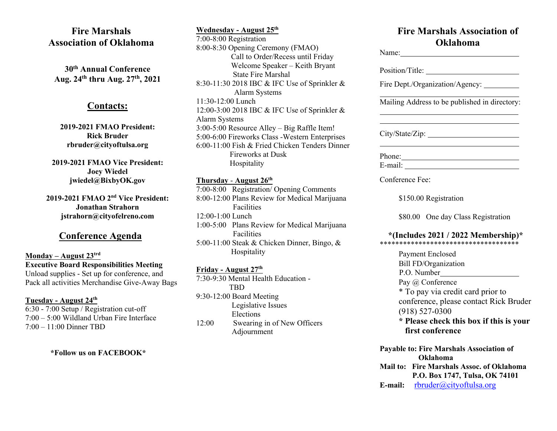# **Fire Marshals Association of Oklahoma**

**30th Annual Conference Aug. 24th thru Aug. 27 th, 2021**

#### **Contacts:**

**2019-2021 FMAO President: Rick Bruder rbruder@cityoftulsa.org**

**2019-2021 FMAO Vice President: Joey Wiedel jwiedel@BixbyOK.gov**

**2019-2021 FMAO 2 nd Vice President: Jonathan Strahorn jstrahorn@cityofelreno.com**

### **Conference Agenda**

#### **Monday – August 23trd Executive Board Responsibilities Meeting** Unload supplies - Set up for conference, and Pack all activities Merchandise Give-Away Bags

#### **Tuesday - August 24 th**

6:30 - 7:00 Setup / Registration cut-off 7:00 – 5:00 Wildland Urban Fire Interface 7:00 – 11:00 Dinner TBD

 **\*Follow us on FACEBOOK\***

**Wednesday - August 25 th** 7:00-8:00 Registration 8:00-8:30 Opening Ceremony (FMAO) Call to Order/Recess until Friday Welcome Speaker – Keith Bryant State Fire Marshal 8:30-11:30 2018 IBC & IFC Use of Sprinkler & Alarm Systems 11:30-12:00 Lunch 12:00-3:00 2018 IBC & IFC Use of Sprinkler & Alarm Systems 3:00-5:00 Resource Alley – Big Raffle Item! 5:00-6:00 Fireworks Class -Western Enterprises 6:00-11:00 Fish & Fried Chicken Tenders Dinner Fireworks at Dusk Hospitality

#### **Thursday** - **August 26th**

7:00-8:00 Registration/ Opening Comments 8:00-12:00 Plans Review for Medical Marijuana Facilities 12:00-1:00 Lunch 1:00-5:00 Plans Review for Medical Marijuana **Facilities** 5:00-11:00 Steak & Chicken Dinner, Bingo, & Hospitality

#### **Friday - August 27 th**

7:30-9:30 Mental Health Education - TBD 9:30-12:00 Board Meeting Legislative Issues Elections 12:00 Swearing in of New Officers Adjournment

# **Fire Marshals Association of Oklahoma**

| Name:                                                                                           |
|-------------------------------------------------------------------------------------------------|
|                                                                                                 |
| Fire Dept./Organization/Agency: ________                                                        |
| Mailing Address to be published in directory:                                                   |
| City/State/Zip:                                                                                 |
| Phone:                                                                                          |
| Conference Fee:                                                                                 |
| \$150.00 Registration                                                                           |
| \$80.00 One day Class Registration                                                              |
| *(Includes 2021 / 2022 Membership)*                                                             |
| <b>Payment Enclosed</b><br>Bill FD/Organization<br>P.O. Number                                  |
| Pay @ Conference<br>* To pay via credit card prior to<br>conference, please contact Rick Bruder |
| $(918) 527 - 0300$<br>* Please check this box if this is your<br>first conference               |
| <b>Payable to: Fire Marshals Association of</b><br>Oklahoma                                     |
| Mail to: Fire Marshals Assoc. of Oklahoma<br>P.O. Box 1747, Tulsa, OK 74101                     |
| rbruder@cityoftulsa.org<br>E-mail:                                                              |